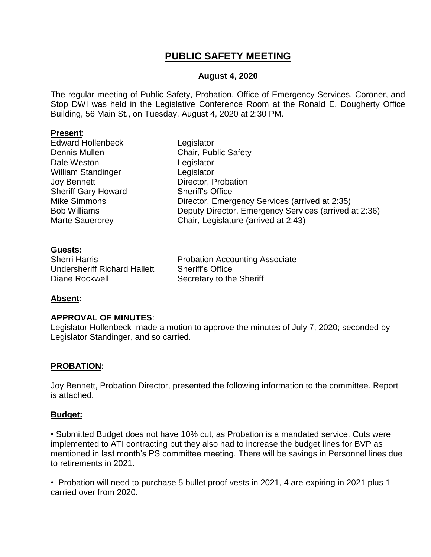## **PUBLIC SAFETY MEETING**

#### **August 4, 2020**

The regular meeting of Public Safety, Probation, Office of Emergency Services, Coroner, and Stop DWI was held in the Legislative Conference Room at the Ronald E. Dougherty Office Building, 56 Main St., on Tuesday, August 4, 2020 at 2:30 PM.

#### **Present**:

| <b>Edward Hollenbeck</b>   | Legislator                                            |
|----------------------------|-------------------------------------------------------|
| Dennis Mullen              | Chair, Public Safety                                  |
| Dale Weston                | Legislator                                            |
| <b>William Standinger</b>  | Legislator                                            |
| <b>Joy Bennett</b>         | Director, Probation                                   |
| <b>Sheriff Gary Howard</b> | <b>Sheriff's Office</b>                               |
| <b>Mike Simmons</b>        | Director, Emergency Services (arrived at 2:35)        |
| <b>Bob Williams</b>        | Deputy Director, Emergency Services (arrived at 2:36) |
| <b>Marte Sauerbrey</b>     | Chair, Legislature (arrived at 2:43)                  |
|                            |                                                       |

#### **Guests:**

| <b>Sherri Harris</b>                |
|-------------------------------------|
| <b>Undersheriff Richard Hallett</b> |
| Diane Rockwell                      |

**Probation Accounting Associate** Sheriff's Office Secretary to the Sheriff

#### **Absent:**

#### **APPROVAL OF MINUTES**:

Legislator Hollenbeck made a motion to approve the minutes of July 7, 2020; seconded by Legislator Standinger, and so carried.

#### **PROBATION:**

Joy Bennett, Probation Director, presented the following information to the committee. Report is attached.

#### **Budget:**

• Submitted Budget does not have 10% cut, as Probation is a mandated service. Cuts were implemented to ATI contracting but they also had to increase the budget lines for BVP as mentioned in last month's PS committee meeting. There will be savings in Personnel lines due to retirements in 2021.

• Probation will need to purchase 5 bullet proof vests in 2021, 4 are expiring in 2021 plus 1 carried over from 2020.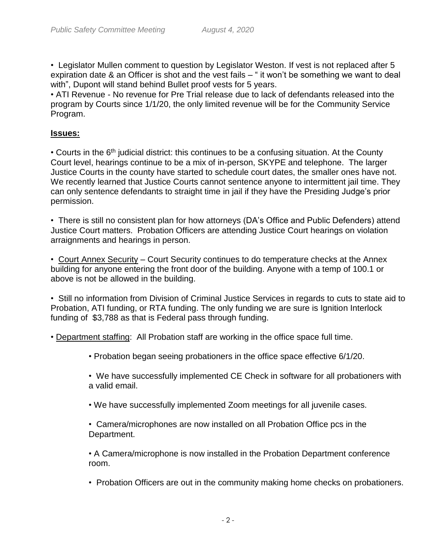• Legislator Mullen comment to question by Legislator Weston. If vest is not replaced after 5 expiration date & an Officer is shot and the vest fails – " it won't be something we want to deal with", Dupont will stand behind Bullet proof vests for 5 years.

• ATI Revenue - No revenue for Pre Trial release due to lack of defendants released into the program by Courts since 1/1/20, the only limited revenue will be for the Community Service Program.

#### **Issues:**

• Courts in the  $6<sup>th</sup>$  judicial district: this continues to be a confusing situation. At the County Court level, hearings continue to be a mix of in-person, SKYPE and telephone. The larger Justice Courts in the county have started to schedule court dates, the smaller ones have not. We recently learned that Justice Courts cannot sentence anyone to intermittent jail time. They can only sentence defendants to straight time in jail if they have the Presiding Judge's prior permission.

• There is still no consistent plan for how attorneys (DA's Office and Public Defenders) attend Justice Court matters. Probation Officers are attending Justice Court hearings on violation arraignments and hearings in person.

• Court Annex Security – Court Security continues to do temperature checks at the Annex building for anyone entering the front door of the building. Anyone with a temp of 100.1 or above is not be allowed in the building.

• Still no information from Division of Criminal Justice Services in regards to cuts to state aid to Probation, ATI funding, or RTA funding. The only funding we are sure is Ignition Interlock funding of \$3,788 as that is Federal pass through funding.

• Department staffing: All Probation staff are working in the office space full time.

• Probation began seeing probationers in the office space effective 6/1/20.

• We have successfully implemented CE Check in software for all probationers with a valid email.

• We have successfully implemented Zoom meetings for all juvenile cases.

• Camera/microphones are now installed on all Probation Office pcs in the Department.

• A Camera/microphone is now installed in the Probation Department conference room.

• Probation Officers are out in the community making home checks on probationers.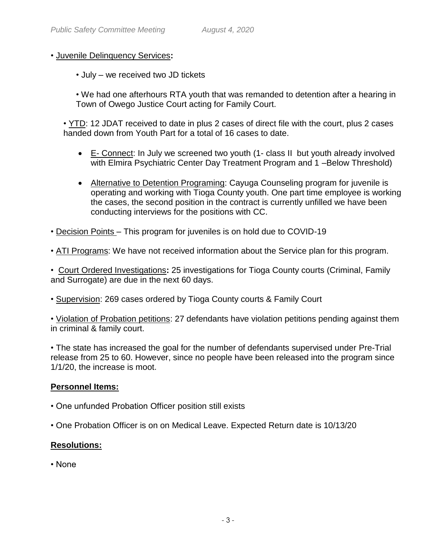#### • Juvenile Delinquency Services**:**

• July – we received two JD tickets

• We had one afterhours RTA youth that was remanded to detention after a hearing in Town of Owego Justice Court acting for Family Court.

• YTD: 12 JDAT received to date in plus 2 cases of direct file with the court, plus 2 cases handed down from Youth Part for a total of 16 cases to date.

- E- Connect: In July we screened two youth (1- class II but youth already involved with Elmira Psychiatric Center Day Treatment Program and 1-Below Threshold)
- Alternative to Detention Programing: Cayuga Counseling program for juvenile is operating and working with Tioga County youth. One part time employee is working the cases, the second position in the contract is currently unfilled we have been conducting interviews for the positions with CC.
- Decision Points This program for juveniles is on hold due to COVID-19
- ATI Programs: We have not received information about the Service plan for this program.

• Court Ordered Investigations**:** 25 investigations for Tioga County courts (Criminal, Family and Surrogate) are due in the next 60 days.

• Supervision: 269 cases ordered by Tioga County courts & Family Court

• Violation of Probation petitions: 27 defendants have violation petitions pending against them in criminal & family court.

• The state has increased the goal for the number of defendants supervised under Pre-Trial release from 25 to 60. However, since no people have been released into the program since 1/1/20, the increase is moot.

#### **Personnel Items:**

- One unfunded Probation Officer position still exists
- One Probation Officer is on on Medical Leave. Expected Return date is 10/13/20

### **Resolutions:**

• None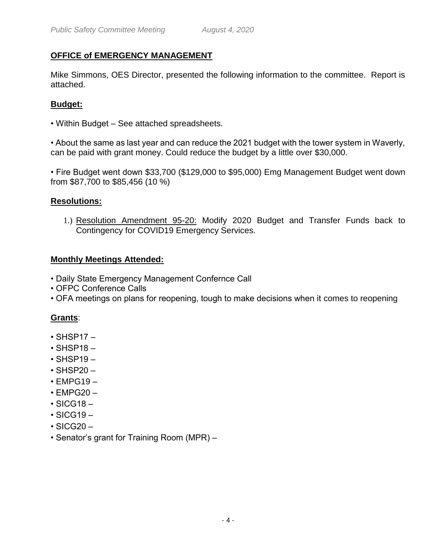## **OFFICE of EMERGENCY MANAGEMENT**

Mike Simmons, OES Director, presented the following information to the committee. Report is attached.

## **Budget:**

• Within Budget – See attached spreadsheets.

• About the same as last year and can reduce the 2021 budget with the tower system in Waverly, can be paid with grant money. Could reduce the budget by a little over \$30,000.

• Fire Budget went down \$33,700 (\$129,000 to \$95,000) Emg Management Budget went down from \$87,700 to \$85,456 (10 %)

#### **Resolutions:**

1.) Resolution Amendment 95-20: Modify 2020 Budget and Transfer Funds back to Contingency for COVID19 Emergency Services.

#### **Monthly Meetings Attended:**

- Daily State Emergency Management Confernce Call
- OFPC Conference Calls
- OFA meetings on plans for reopening, tough to make decisions when it comes to reopening

### **Grants**:

- $\cdot$  SHSP17 –
- $\cdot$  SHSP18 –
- $\cdot$  SHSP19 –
- $\cdot$  SHSP20 –
- $\cdot$  EMPG19 –
- $\cdot$  EMPG20  $-$
- $\cdot$  SICG18 –
- $\cdot$  SICG19 –
- $\cdot$  SICG20 –
- Senator's grant for Training Room (MPR) –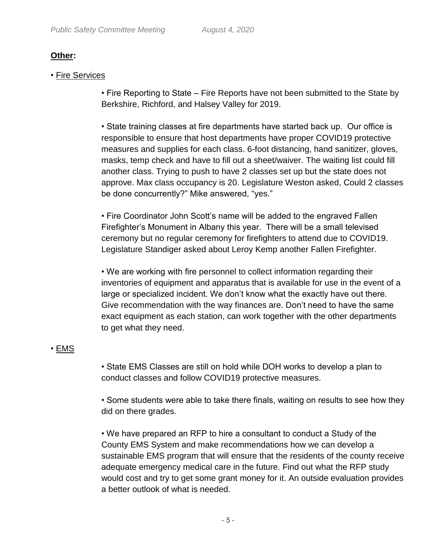## **Other:**

• Fire Services

• Fire Reporting to State – Fire Reports have not been submitted to the State by Berkshire, Richford, and Halsey Valley for 2019.

• State training classes at fire departments have started back up. Our office is responsible to ensure that host departments have proper COVID19 protective measures and supplies for each class. 6-foot distancing, hand sanitizer, gloves, masks, temp check and have to fill out a sheet/waiver. The waiting list could fill another class. Trying to push to have 2 classes set up but the state does not approve. Max class occupancy is 20. Legislature Weston asked, Could 2 classes be done concurrently?" Mike answered, "yes."

• Fire Coordinator John Scott's name will be added to the engraved Fallen Firefighter's Monument in Albany this year. There will be a small televised ceremony but no regular ceremony for firefighters to attend due to COVID19. Legislature Standiger asked about Leroy Kemp another Fallen Firefighter.

• We are working with fire personnel to collect information regarding their inventories of equipment and apparatus that is available for use in the event of a large or specialized incident. We don't know what the exactly have out there. Give recommendation with the way finances are. Don't need to have the same exact equipment as each station, can work together with the other departments to get what they need.

## • EMS

• State EMS Classes are still on hold while DOH works to develop a plan to conduct classes and follow COVID19 protective measures.

• Some students were able to take there finals, waiting on results to see how they did on there grades.

• We have prepared an RFP to hire a consultant to conduct a Study of the County EMS System and make recommendations how we can develop a sustainable EMS program that will ensure that the residents of the county receive adequate emergency medical care in the future. Find out what the RFP study would cost and try to get some grant money for it. An outside evaluation provides a better outlook of what is needed.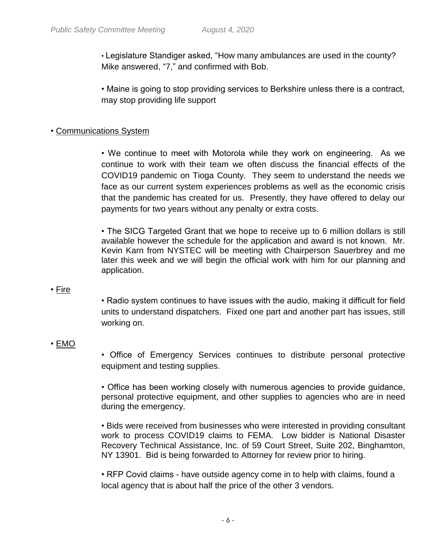• Legislature Standiger asked, "How many ambulances are used in the county? Mike answered, "7," and confirmed with Bob.

• Maine is going to stop providing services to Berkshire unless there is a contract, may stop providing life support

## • Communications System

• We continue to meet with Motorola while they work on engineering. As we continue to work with their team we often discuss the financial effects of the COVID19 pandemic on Tioga County. They seem to understand the needs we face as our current system experiences problems as well as the economic crisis that the pandemic has created for us. Presently, they have offered to delay our payments for two years without any penalty or extra costs.

• The SICG Targeted Grant that we hope to receive up to 6 million dollars is still available however the schedule for the application and award is not known. Mr. Kevin Karn from NYSTEC will be meeting with Chairperson Sauerbrey and me later this week and we will begin the official work with him for our planning and application.

### • Fire

• Radio system continues to have issues with the audio, making it difficult for field units to understand dispatchers. Fixed one part and another part has issues, still working on.

## • EMO

• Office of Emergency Services continues to distribute personal protective equipment and testing supplies.

• Office has been working closely with numerous agencies to provide guidance, personal protective equipment, and other supplies to agencies who are in need during the emergency.

• Bids were received from businesses who were interested in providing consultant work to process COVID19 claims to FEMA. Low bidder is National Disaster Recovery Technical Assistance, Inc. of 59 Court Street, Suite 202, Binghamton, NY 13901. Bid is being forwarded to Attorney for review prior to hiring.

• RFP Covid claims - have outside agency come in to help with claims, found a local agency that is about half the price of the other 3 vendors.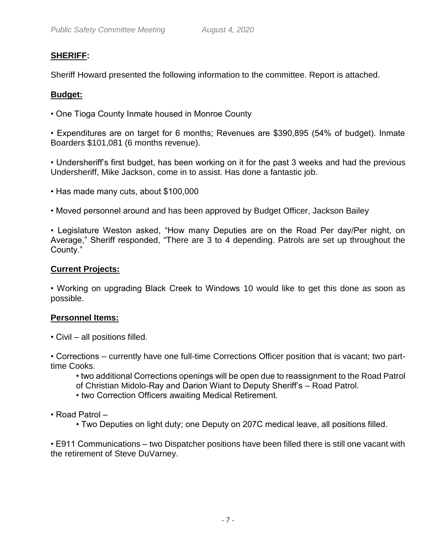## **SHERIFF:**

Sheriff Howard presented the following information to the committee. Report is attached.

#### **Budget:**

• One Tioga County Inmate housed in Monroe County

• Expenditures are on target for 6 months; Revenues are \$390,895 (54% of budget). Inmate Boarders \$101,081 (6 months revenue).

• Undersheriff's first budget, has been working on it for the past 3 weeks and had the previous Undersheriff, Mike Jackson, come in to assist. Has done a fantastic job.

- Has made many cuts, about \$100,000
- Moved personnel around and has been approved by Budget Officer, Jackson Bailey

• Legislature Weston asked, "How many Deputies are on the Road Per day/Per night, on Average," Sheriff responded, "There are 3 to 4 depending. Patrols are set up throughout the County."

#### **Current Projects:**

• Working on upgrading Black Creek to Windows 10 would like to get this done as soon as possible.

#### **Personnel Items:**

• Civil – all positions filled.

• Corrections – currently have one full-time Corrections Officer position that is vacant; two parttime Cooks.

• two additional Corrections openings will be open due to reassignment to the Road Patrol of Christian Midolo-Ray and Darion Wiant to Deputy Sheriff's – Road Patrol.

- two Correction Officers awaiting Medical Retirement.
- Road Patrol
	- Two Deputies on light duty; one Deputy on 207C medical leave, all positions filled.

• E911 Communications – two Dispatcher positions have been filled there is still one vacant with the retirement of Steve DuVarney.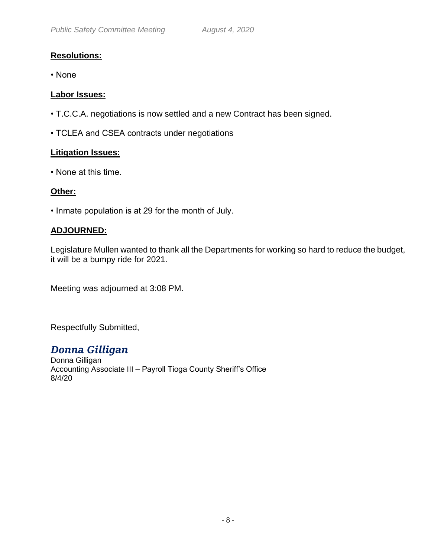## **Resolutions:**

• None

#### **Labor Issues:**

- T.C.C.A. negotiations is now settled and a new Contract has been signed.
- TCLEA and CSEA contracts under negotiations

#### **Litigation Issues:**

• None at this time.

#### **Other:**

• Inmate population is at 29 for the month of July.

#### **ADJOURNED:**

Legislature Mullen wanted to thank all the Departments for working so hard to reduce the budget, it will be a bumpy ride for 2021.

Meeting was adjourned at 3:08 PM.

Respectfully Submitted,

*Donna Gilligan* Donna Gilligan Accounting Associate III – Payroll Tioga County Sheriff's Office 8/4/20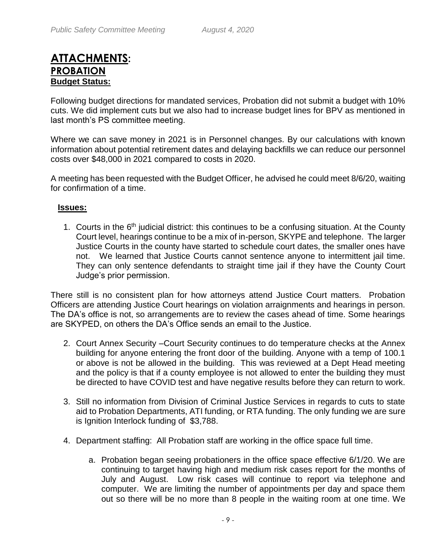## **ATTACHMENTS: PROBATION Budget Status:**

Following budget directions for mandated services, Probation did not submit a budget with 10% cuts. We did implement cuts but we also had to increase budget lines for BPV as mentioned in last month's PS committee meeting.

Where we can save money in 2021 is in Personnel changes. By our calculations with known information about potential retirement dates and delaying backfills we can reduce our personnel costs over \$48,000 in 2021 compared to costs in 2020.

A meeting has been requested with the Budget Officer, he advised he could meet 8/6/20, waiting for confirmation of a time.

#### **Issues:**

1. Courts in the 6<sup>th</sup> judicial district: this continues to be a confusing situation. At the County Court level, hearings continue to be a mix of in-person, SKYPE and telephone. The larger Justice Courts in the county have started to schedule court dates, the smaller ones have not. We learned that Justice Courts cannot sentence anyone to intermittent jail time. They can only sentence defendants to straight time jail if they have the County Court Judge's prior permission.

There still is no consistent plan for how attorneys attend Justice Court matters. Probation Officers are attending Justice Court hearings on violation arraignments and hearings in person. The DA's office is not, so arrangements are to review the cases ahead of time. Some hearings are SKYPED, on others the DA's Office sends an email to the Justice.

- 2. Court Annex Security –Court Security continues to do temperature checks at the Annex building for anyone entering the front door of the building. Anyone with a temp of 100.1 or above is not be allowed in the building. This was reviewed at a Dept Head meeting and the policy is that if a county employee is not allowed to enter the building they must be directed to have COVID test and have negative results before they can return to work.
- 3. Still no information from Division of Criminal Justice Services in regards to cuts to state aid to Probation Departments, ATI funding, or RTA funding. The only funding we are sure is Ignition Interlock funding of \$3,788.
- 4. Department staffing: All Probation staff are working in the office space full time.
	- a. Probation began seeing probationers in the office space effective 6/1/20. We are continuing to target having high and medium risk cases report for the months of July and August. Low risk cases will continue to report via telephone and computer. We are limiting the number of appointments per day and space them out so there will be no more than 8 people in the waiting room at one time. We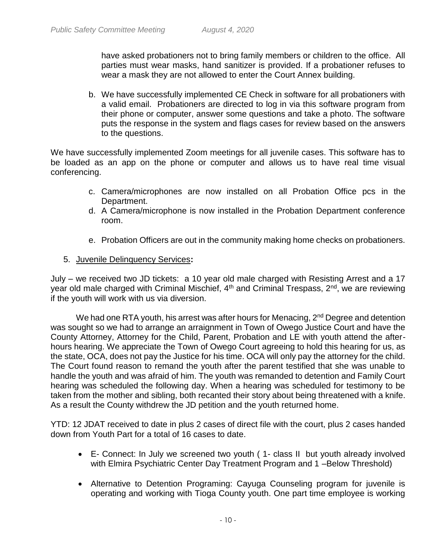have asked probationers not to bring family members or children to the office. All parties must wear masks, hand sanitizer is provided. If a probationer refuses to wear a mask they are not allowed to enter the Court Annex building.

b. We have successfully implemented CE Check in software for all probationers with a valid email. Probationers are directed to log in via this software program from their phone or computer, answer some questions and take a photo. The software puts the response in the system and flags cases for review based on the answers to the questions.

We have successfully implemented Zoom meetings for all juvenile cases. This software has to be loaded as an app on the phone or computer and allows us to have real time visual conferencing.

- c. Camera/microphones are now installed on all Probation Office pcs in the Department.
- d. A Camera/microphone is now installed in the Probation Department conference room.
- e. Probation Officers are out in the community making home checks on probationers.
- 5. Juvenile Delinquency Services**:**

July – we received two JD tickets: a 10 year old male charged with Resisting Arrest and a 17 year old male charged with Criminal Mischief,  $4<sup>th</sup>$  and Criminal Trespass,  $2<sup>nd</sup>$ , we are reviewing if the youth will work with us via diversion.

We had one RTA youth, his arrest was after hours for Menacing, 2<sup>nd</sup> Degree and detention was sought so we had to arrange an arraignment in Town of Owego Justice Court and have the County Attorney, Attorney for the Child, Parent, Probation and LE with youth attend the afterhours hearing. We appreciate the Town of Owego Court agreeing to hold this hearing for us, as the state, OCA, does not pay the Justice for his time. OCA will only pay the attorney for the child. The Court found reason to remand the youth after the parent testified that she was unable to handle the youth and was afraid of him. The youth was remanded to detention and Family Court hearing was scheduled the following day. When a hearing was scheduled for testimony to be taken from the mother and sibling, both recanted their story about being threatened with a knife. As a result the County withdrew the JD petition and the youth returned home.

YTD: 12 JDAT received to date in plus 2 cases of direct file with the court, plus 2 cases handed down from Youth Part for a total of 16 cases to date.

- E- Connect: In July we screened two youth ( 1- class II but youth already involved with Elmira Psychiatric Center Day Treatment Program and 1 -Below Threshold)
- Alternative to Detention Programing: Cayuga Counseling program for juvenile is operating and working with Tioga County youth. One part time employee is working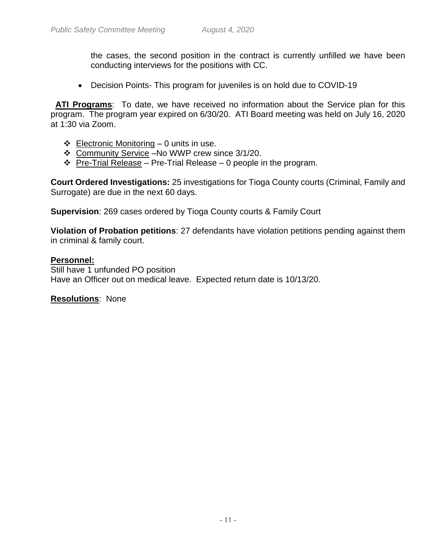the cases, the second position in the contract is currently unfilled we have been conducting interviews for the positions with CC.

Decision Points- This program for juveniles is on hold due to COVID-19

 **ATI Programs**: To date, we have received no information about the Service plan for this program. The program year expired on 6/30/20. ATI Board meeting was held on July 16, 2020 at 1:30 via Zoom.

- $\div$  Electronic Monitoring 0 units in use.
- Community Service –No WWP crew since 3/1/20.
- $\div$  Pre-Trial Release Pre-Trial Release 0 people in the program.

**Court Ordered Investigations:** 25 investigations for Tioga County courts (Criminal, Family and Surrogate) are due in the next 60 days.

**Supervision**: 269 cases ordered by Tioga County courts & Family Court

**Violation of Probation petitions**: 27 defendants have violation petitions pending against them in criminal & family court.

#### **Personnel:**

Still have 1 unfunded PO position Have an Officer out on medical leave. Expected return date is 10/13/20.

**Resolutions**: None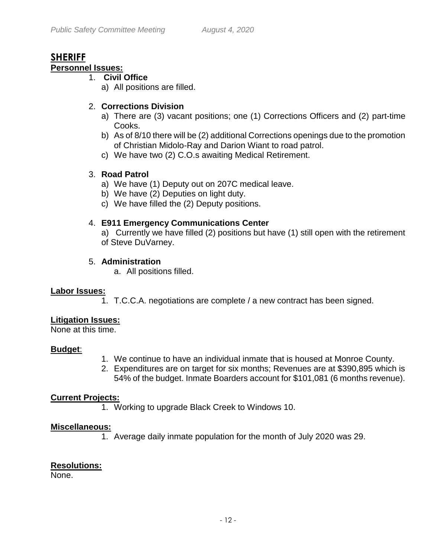#### **SHERIFF Personnel Issues:**

## 1. **Civil Office**

- a) All positions are filled.
- 

## 2. **Corrections Division**

- a) There are (3) vacant positions; one (1) Corrections Officers and (2) part-time Cooks.
- b) As of 8/10 there will be (2) additional Corrections openings due to the promotion of Christian Midolo-Ray and Darion Wiant to road patrol.
- c) We have two (2) C.O.s awaiting Medical Retirement.

## 3. **Road Patrol**

- a) We have (1) Deputy out on 207C medical leave.
- b) We have (2) Deputies on light duty.
- c) We have filled the (2) Deputy positions.

## 4. **E911 Emergency Communications Center**

a)Currently we have filled (2) positions but have (1) still open with the retirement of Steve DuVarney.

## 5. **Administration**

a. All positions filled.

### **Labor Issues:**

1. T.C.C.A. negotiations are complete / a new contract has been signed.

### **Litigation Issues:**

None at this time.

### **Budget**:

- 1. We continue to have an individual inmate that is housed at Monroe County.
- 2. Expenditures are on target for six months; Revenues are at \$390,895 which is 54% of the budget. Inmate Boarders account for \$101,081 (6 months revenue).

### **Current Projects:**

1. Working to upgrade Black Creek to Windows 10.

### **Miscellaneous:**

1. Average daily inmate population for the month of July 2020 was 29.

## **Resolutions:**

None.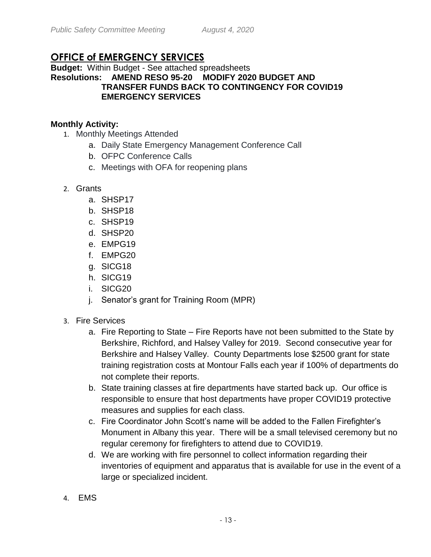## **OFFICE of EMERGENCY SERVICES**

#### **Budget:** Within Budget - See attached spreadsheets **Resolutions: AMEND RESO 95-20 MODIFY 2020 BUDGET AND TRANSFER FUNDS BACK TO CONTINGENCY FOR COVID19 EMERGENCY SERVICES**

#### **Monthly Activity:**

- 1. Monthly Meetings Attended
	- a. Daily State Emergency Management Conference Call
	- b. OFPC Conference Calls
	- c. Meetings with OFA for reopening plans
- 2. Grants
	- a. SHSP17
	- b. SHSP18
	- c. SHSP19
	- d. SHSP20
	- e. EMPG19
	- f. EMPG20
	- g. SICG18
	- h. SICG19
	- i. SICG20
	- j. Senator's grant for Training Room (MPR)
- 3. Fire Services
	- a. Fire Reporting to State Fire Reports have not been submitted to the State by Berkshire, Richford, and Halsey Valley for 2019. Second consecutive year for Berkshire and Halsey Valley. County Departments lose \$2500 grant for state training registration costs at Montour Falls each year if 100% of departments do not complete their reports.
	- b. State training classes at fire departments have started back up. Our office is responsible to ensure that host departments have proper COVID19 protective measures and supplies for each class.
	- c. Fire Coordinator John Scott's name will be added to the Fallen Firefighter's Monument in Albany this year. There will be a small televised ceremony but no regular ceremony for firefighters to attend due to COVID19.
	- d. We are working with fire personnel to collect information regarding their inventories of equipment and apparatus that is available for use in the event of a large or specialized incident.
- 4. EMS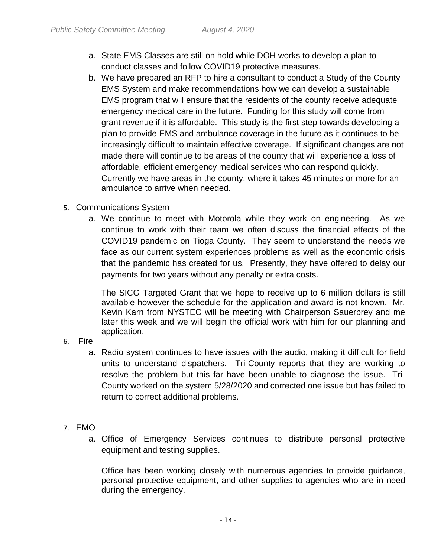- a. State EMS Classes are still on hold while DOH works to develop a plan to conduct classes and follow COVID19 protective measures.
- b. We have prepared an RFP to hire a consultant to conduct a Study of the County EMS System and make recommendations how we can develop a sustainable EMS program that will ensure that the residents of the county receive adequate emergency medical care in the future. Funding for this study will come from grant revenue if it is affordable. This study is the first step towards developing a plan to provide EMS and ambulance coverage in the future as it continues to be increasingly difficult to maintain effective coverage. If significant changes are not made there will continue to be areas of the county that will experience a loss of affordable, efficient emergency medical services who can respond quickly. Currently we have areas in the county, where it takes 45 minutes or more for an ambulance to arrive when needed.
- 5. Communications System
	- a. We continue to meet with Motorola while they work on engineering. As we continue to work with their team we often discuss the financial effects of the COVID19 pandemic on Tioga County. They seem to understand the needs we face as our current system experiences problems as well as the economic crisis that the pandemic has created for us. Presently, they have offered to delay our payments for two years without any penalty or extra costs.

The SICG Targeted Grant that we hope to receive up to 6 million dollars is still available however the schedule for the application and award is not known. Mr. Kevin Karn from NYSTEC will be meeting with Chairperson Sauerbrey and me later this week and we will begin the official work with him for our planning and application.

6. Fire

- a. Radio system continues to have issues with the audio, making it difficult for field units to understand dispatchers. Tri-County reports that they are working to resolve the problem but this far have been unable to diagnose the issue. Tri-County worked on the system 5/28/2020 and corrected one issue but has failed to return to correct additional problems.
- 7. EMO
	- a. Office of Emergency Services continues to distribute personal protective equipment and testing supplies.

Office has been working closely with numerous agencies to provide guidance, personal protective equipment, and other supplies to agencies who are in need during the emergency.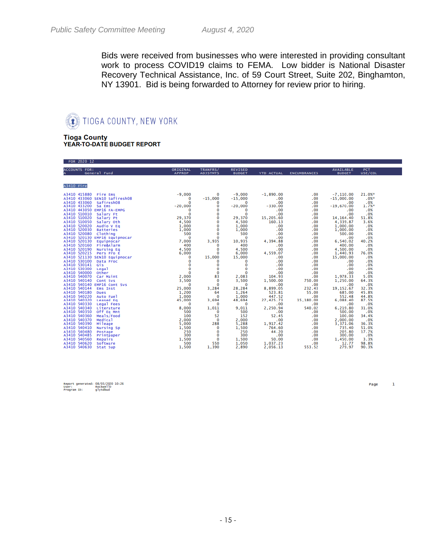Bids were received from businesses who were interested in providing consultant work to process COVID19 claims to FEMA. Low bidder is National Disaster Recovery Technical Assistance, Inc. of 59 Court Street, Suite 202, Binghamton, NY 13901. Bid is being forwarded to Attorney for review prior to hiring.

#### TIOGA COUNTY, NEW YORK 護童

**Tioga County** 

YEAR-TO-DATE BUDGET REPORT

| <b>FOR ZUZU IZ</b>   |               |                      |                          |                     |                     |                      |                |
|----------------------|---------------|----------------------|--------------------------|---------------------|---------------------|----------------------|----------------|
| <b>ACCOUNTS FOR:</b> | ORIGINAL      | TRANFRS/             | <b>REVISED</b>           |                     |                     | <b>AVAILABLE</b>     | <b>PCT</b>     |
| General Fund         | <b>APPROP</b> | <b>ADJSTMTS</b>      | <b>BUDGET</b>            | <b>YTD ACTUAL</b>   | <b>ENCUMBRANCES</b> | <b>BUDGET</b>        | USE/COL        |
|                      |               |                      |                          |                     |                     |                      |                |
| A3410 Fire           |               |                      |                          |                     |                     |                      |                |
|                      |               |                      |                          |                     |                     |                      |                |
|                      |               | $\mathbf{o}$         | $-9,000$                 | $-1,890.00$         | .00                 | $-7, 110, 00$        | 21.0%*         |
|                      |               | $-15,000$            | $-15,000$                | .00                 | .00                 | $-15,000.00$         | .0%            |
|                      |               | 0<br>0               | $\sim$ 0<br>$-20,000$    | .00<br>$-330.00$    | .00<br>.00          | .00<br>$-19.670.00$  | .0%<br>1.7%    |
|                      |               | $\bf{0}$             | $\Omega$                 | .00                 | .00                 | .00                  | .0%            |
|                      |               | $\mathbf 0$          | $\mathbf 0$              | .00                 | .00                 | .00                  | .0%            |
|                      |               | $\overline{0}$       | 29,370                   | 15,205.60           | .00                 | 14, 164, 40          | 51.8%          |
|                      |               | 0                    | 4,500                    | 160.13              | .00                 | 4,339.87             | 3.6%           |
|                      |               | $\mathbf 0$<br>0     | 1,000<br>1,000           | .00<br>.00          | .00<br>.00          | 1,000.00             | .0%<br>.0%     |
|                      |               | $\mathbf 0$          | 500                      | .00                 | .00                 | 1,000.00<br>500.00   | .0%            |
|                      |               | 0                    | $\overline{\mathbf{0}}$  | .00                 | .00                 | .00                  | .0%            |
|                      |               | 3,935                | 10,935                   | 4,394.88            | .00                 | 6,540.02             | 40.2%          |
|                      |               | $\mathbf 0$          | 400                      | .00                 | .00                 | 400.00               | .0%            |
|                      |               | $\Omega$<br>$\Omega$ | 4,500                    | .00<br>4,559.07     | .00<br>.00          | 4.500.00<br>1,440.93 | .0%<br>76.0%   |
|                      |               | 15,000               | 6,000<br>15,000          | .00                 | .00                 | 15,000.00            | .0%            |
|                      |               | $\mathbf 0$          | $\bf{0}$                 | .00                 | .00                 | .00                  | .0%            |
|                      |               | 0                    | $\bf{0}$                 | .00                 | .00                 | .00                  | .0%            |
|                      |               | $\mathbf{o}$         | $\bf{0}$                 | .00                 | .00                 | .00                  | .0%            |
|                      |               | $\mathbf 0$<br>83    | $\mathbf{O}$             | .00<br>104.93       | .00<br>.00          | .00                  | .0%<br>5.0%    |
|                      |               | 0                    | 2,083<br>3.500           | 1.500.00            | 750.00              | 1,978.33<br>1.250.00 | 64.3%          |
|                      |               | $\mathbf 0$          | $\overline{\phantom{0}}$ | .00                 | .00                 | .00                  | .0%            |
|                      |               | 3,284                | 28,284                   | 8,899.05            | 232.43              | 19, 152.67           | 32.3%          |
|                      |               | 64                   | 1,264                    | 523.81              | 55.00               | 685.00               | 45.8%          |
|                      |               | $\Omega$             | 1,000<br>48,694          | 447.52<br>27,425.73 | .00                 | 552.48<br>6,088.40   | 44.8%<br>87.5% |
|                      |               | 3,694<br>0           | $\sim$ 0                 | .00                 | 15,180.00<br>.00    | .00                  | .0%            |
|                      |               | 1,011                | 9,011                    | 2,250.94            | 540.02              | 6,219.80             | 31.0%          |
|                      |               | $\mathbf{o}$         | 500                      | .00                 | .00                 | 500.00               | .0%            |
|                      |               | 52                   | 152                      | 52.45               | .00                 | 100.00               | 34.4%          |
|                      |               | $\Omega$<br>288      | 2,000<br>5,288           | .00                 | .00<br>.00          | 2,000.00<br>3,371.06 | .0%<br>36.3%   |
|                      |               | $\mathbf 0$          | 1,500                    | 1,917.42<br>764.60  | .00                 | 735.40               | 51.0%          |
|                      |               | $\mathbf 0$          | 250                      | 44.20               | .00                 | 205.80               | 17.7%          |
|                      |               | o                    | 300                      | .00                 | .00                 | 300.00               | .0%            |
|                      |               | $\mathbf 0$          | 1,500                    | 50.00               | .00                 | 1,450,00             | 3.3%           |
|                      |               | 550                  | 1.050                    | 1,037.23            | .00                 | 12.77                | 98.8%          |
|                      |               | 1,390                | 2,890                    | 2,056.13            | 553.52              | 279.97               | 90.3%          |

Page

 $\mathbf 1$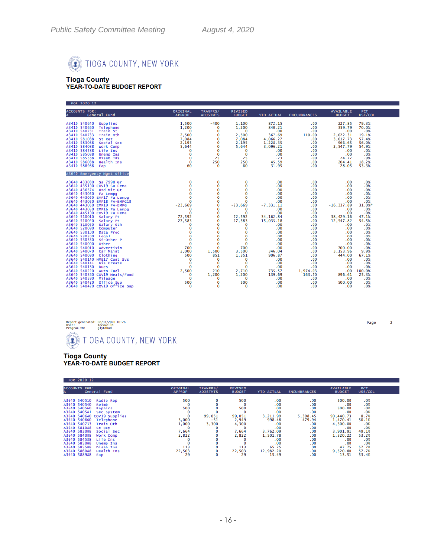

# Tioga County<br>YEAR-TO-DATE BUDGET REPORT

| FOR 2020 12                                                                                                                                                                                                                                                                                                                                     |                           |                                                                                                                                                                                                           |                                                                                                                                                                                                         |                                                                                                                                    |                                                                                                              |                                                                                                                                      |                                                                                                                    |
|-------------------------------------------------------------------------------------------------------------------------------------------------------------------------------------------------------------------------------------------------------------------------------------------------------------------------------------------------|---------------------------|-----------------------------------------------------------------------------------------------------------------------------------------------------------------------------------------------------------|---------------------------------------------------------------------------------------------------------------------------------------------------------------------------------------------------------|------------------------------------------------------------------------------------------------------------------------------------|--------------------------------------------------------------------------------------------------------------|--------------------------------------------------------------------------------------------------------------------------------------|--------------------------------------------------------------------------------------------------------------------|
| <b>ACCOUNTS FOR:</b><br>General Fund                                                                                                                                                                                                                                                                                                            | ORIGINAL<br><b>APPROP</b> | TRANFRS/<br><b>ADJSTMTS</b>                                                                                                                                                                               | <b>REVISED</b><br><b>BUDGET</b>                                                                                                                                                                         | YTD ACTUAL                                                                                                                         | <b>ENCUMBRANCES</b>                                                                                          | <b>AVAILABLE</b><br><b>BUDGET</b>                                                                                                    | <b>PCT</b><br>USE/COL                                                                                              |
| A3410 540640<br>Supplies<br>A3410 540660<br>Telephone<br>A3410 540731 Train St<br>A3410 540733<br>Train Oth<br>A3410 581088 St Ret<br>A3410 583088<br>Social Sec<br>A3410 584088<br>Work Comp<br>A3410 584588<br>Life Ins<br>A3410 585088<br><b>Unemp Ins</b><br>A3410 585588<br>Disab Ins<br>A3410 586088<br>Health Ins<br>A3410 588988<br>Eap |                           | $-400$<br>0<br>$\ddot{\mathbf{0}}$<br>$\bf{0}$<br>$\bf{0}$<br>0<br>$\bf{0}$<br>$\bf{0}$<br>0<br>25<br>250<br>$\mathbf 0$                                                                                  | 1,100<br>1,200<br>$\sim$ 0<br>2.500<br>7,084<br>2,195<br>5,644<br>$\overline{\phantom{0}}$<br>$\bf o$<br>25<br>250<br>60                                                                                | 872.15<br>840.21<br>.00<br>367.69<br>4,066.27<br>1,228.35<br>3.096.21<br>.00<br>.00<br>.23<br>45.59<br>31.95                       | .00<br>.00<br>.00<br>110.00<br>.00<br>.00<br>.00<br>.00<br>.00<br>.00<br>.00<br>.00                          | 227.85<br>359.79<br>.00<br>2,022.31<br>3,017.73<br>966.65<br>2,547.79<br>.00.<br>.00<br>24.77<br>204.41<br>28.05                     | 79.3%<br>70.0%<br>.0%<br>19.1%<br>57.4%<br>56.0%<br>54.9%<br>.0%<br>.0%<br>.9%<br>18.2%<br>53.3%                   |
| A3640 Emergency Mgmt Office                                                                                                                                                                                                                                                                                                                     |                           |                                                                                                                                                                                                           |                                                                                                                                                                                                         |                                                                                                                                    |                                                                                                              |                                                                                                                                      |                                                                                                                    |
| $\frac{0.3640}{0.43640}$ Emergency Mgmt office<br>$\frac{0.3640}{0.435100}$ Cov19 Sa Fema<br>$\frac{0.3640}{0.43640}$ $\frac{436574}{0.436574}$ Hzd Mit Gt<br>$\frac{0.3640}{0.43640}$ $\frac{443050}{0.43640}$ EMergency<br>$\frac{0.3640}{0.43640}$ $\frac{443050}{$                                                                          |                           | 0<br>$\mathbf 0$<br>$\bf{0}$<br>$\bf{0}$<br>$\begin{smallmatrix} 0 \ 0 \ 0 \end{smallmatrix}$<br>$\ddot{\mathbf{O}}$<br>$\Omega$<br>$\overline{0}$<br>$\mathbf 0$<br>$\ddot{\mathbf{0}}$<br>$\frac{0}{0}$ | $\bf{0}$<br>$\bf{0}$<br>$\bf{0}$<br>$\bf{0}$<br>$\bf{0}$<br>$\Omega$<br>$-23,669$<br>$\Omega$<br>$\bf{0}$<br>72,592<br>27,583<br>$\Omega$<br>$\bf{0}$<br>$\frac{0}{2}$<br>$\mathbf{O}$<br>$\frac{0}{0}$ | .00<br>.00<br>.00<br>.00<br>.00<br>.00<br>$-7, 331.11$<br>.00<br>.00<br>34, 162.84<br>15,035.18<br>.00<br>.00<br>.00<br>.00<br>.00 | .00<br>.00<br>.00<br>.00<br>.00<br>.00<br>.00<br>.00<br>.00<br>.00<br>.00<br>.00<br>.00<br>.00<br>.00<br>.00 | .00.<br>.00.<br>.00<br>.00<br>.00<br>.00<br>$-16, 337.89$<br>.00<br>.00<br>38,429.16<br>12,547.82<br>.00<br>.00<br>.00<br>.00<br>.00 | .0%<br>.0%<br>.0%<br>.0%<br>.0%<br>.0%<br>31.0%<br>.0%<br>.0%<br>47.1%<br>54.5%<br>.0%<br>.0%<br>.0%<br>.0%<br>.0% |
|                                                                                                                                                                                                                                                                                                                                                 |                           | $\overline{O}$<br>$\bf{0}$<br>1,500<br>851<br>$\bf{0}$<br>$\bf{0}$<br>$\overline{\mathbf{0}}$<br>210<br>1,200<br>$\bf{0}$<br>$\bf{0}$<br>$\ddot{\mathbf{0}}$                                              | $\overline{0}$<br>700<br>3,500<br>1,351<br>$\overline{\mathbf{0}}$<br>$\mathbf{o}$<br>$\overline{\mathbf{0}}$<br>2,710<br>1,200<br>$^{\circ}$ 0<br>500<br>$\Omega$                                      | .00<br>.00<br>346.04<br>906.87<br>.00<br>$\frac{00}{100}$<br>.00<br>735.57<br>139.69<br>.00<br>.00<br>.00                          | .00<br>.00<br>.00<br>.00<br>.00<br>.00<br>.00<br>1,974.03<br>163.70<br>.00<br>.00<br>.00                     | .00<br>700.00<br>3,153.96<br>444.00<br>.00<br>.00<br>.00<br>.00<br>896.61<br>.00<br>500.00<br>.00                                    | .0%<br>.0%<br>9.9%<br>67.1%<br>.0%<br>.0%<br>.0%<br>100.0%<br>25.3%<br>.0%<br>.0%<br>.0%                           |



# Tioga County<br>YEAR-TO-DATE BUDGET REPORT

| FUR ZUZU IZ                                                                                                                                                                                                                                                 |                                                                                                                                                                       |                                                                            |                             |                                                                                                              |                                                                                                                                   |                                                                                                                |                                                                                                                                                 |                                                                                                                     |  |
|-------------------------------------------------------------------------------------------------------------------------------------------------------------------------------------------------------------------------------------------------------------|-----------------------------------------------------------------------------------------------------------------------------------------------------------------------|----------------------------------------------------------------------------|-----------------------------|--------------------------------------------------------------------------------------------------------------|-----------------------------------------------------------------------------------------------------------------------------------|----------------------------------------------------------------------------------------------------------------|-------------------------------------------------------------------------------------------------------------------------------------------------|---------------------------------------------------------------------------------------------------------------------|--|
| <b>ACCOUNTS FOR:</b>                                                                                                                                                                                                                                        | General Fund                                                                                                                                                          | ORIGINAL<br><b>APPROP</b>                                                  | TRANFRS/<br><b>ADJSTMTS</b> | <b>REVISED</b><br><b>BUDGET</b>                                                                              | <b>YTD ACTUAL</b>                                                                                                                 | <b>ENCUMBRANCES</b>                                                                                            | <b>AVAILABLE</b><br><b>BUDGET</b>                                                                                                               | <b>PCT</b><br>USE/COL                                                                                               |  |
| A3640 540510<br>A3640 540540<br>A3640 540560<br>A3640 540581<br>A3640 540640 COV19 Supplies<br>A3640 540660<br>A3640 540733<br>A3640 581088<br>A3640 583088<br>A3640 584088<br>A3640 584588<br>A3640 585088<br>A3640 585588<br>A3640 586088<br>A3640 588988 | Radio Rep<br>Reimb<br>Repairs<br>Sec System<br>Telephone<br>Train Oth<br>St Ret<br>Social Sec<br>Work Comp<br>Life Ins<br>Unemp Ins<br>Disab Ins<br>Health Ins<br>Eap | 500<br>0<br>500<br>3,000<br>1,000<br>7,664<br>2,822<br>113<br>22,503<br>29 | 99,051<br>$-51$<br>3,300    | 500<br>0<br>500<br>$\bf{0}$<br>99,051<br>2,949<br>4,300<br>$\bf{0}$<br>7,664<br>2,822<br>113<br>22,503<br>29 | .00<br>.00<br>.00<br>.00<br>3,211.99<br>998.48<br>.00<br>.00<br>3,762.09<br>1,501.78<br>.00<br>.00<br>65.25<br>12,982.20<br>15.49 | .00<br>.00<br>.00<br>.00<br>5.398.45<br>479.94<br>.00<br>.00<br>.00.<br>.00<br>.00<br>.00<br>.00<br>.00<br>.00 | 500.00<br>.00.<br>500.00<br>.00<br>90.440.73<br>1,470.41<br>4.300.00<br>.00<br>3,901.91<br>1,320.22<br>.00<br>.00<br>47.75<br>9,520.80<br>13.51 | .0%<br>$.0%_{.0%}$<br>.0%<br>8.7%<br>50.1%<br>.0%<br>.0%<br>49.1%<br>53.2%<br>.0%<br>.0%<br>57.7%<br>57.7%<br>53.4% |  |

Page 2